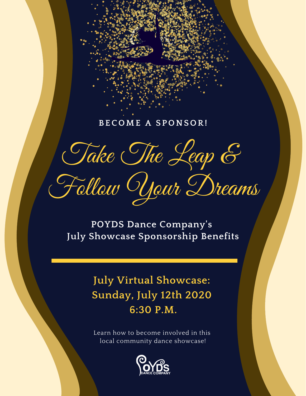### **BEC OME A S P ONS O R!**

Take The Leap &

Follow Your Dreams

**POYDS Dance Company's July Showcase Sponsorship Benefits**

# **July Virtual Showcase: Sunday, July 12th 2020 6:30 P.M.**

Learn how to become involved in this local community dance showcase!

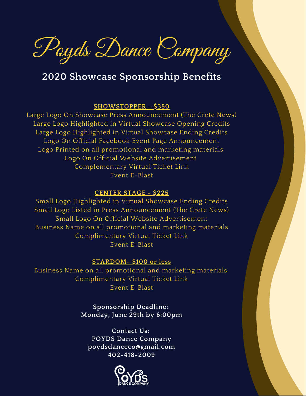Poyds Dance Company

## **2020 Showcase Sponsorship Benefits**

#### **SHOWSTOPPER - \$350**

Large Logo On Showcase Press Announcement (The Crete News) Large Logo Highlighted in Virtual Showcase Opening Credits Large Logo Highlighted in Virtual Showcase Ending Credits Logo On Official Facebook Event Page Announcement Logo Printed on all promotional and marketing materials Logo On Official Website Advertisement Complementary Virtual Ticket Link Event E-Blast

#### **CENTER STAGE - \$225**

Small Logo Highlighted in Virtual Showcase Ending Credits Small Logo Listed in Press Announcement (The Crete News) Small Logo On Official Website Advertisement Business Name on all promotional and marketing materials Complimentary Virtual Ticket Link Event E-Blast

#### **STARDOM- \$100 or less**

Business Name on all promotional and marketing materials Complimentary Virtual Ticket Link Event E-Blast

> **Sponsorship Deadline: Monday, June 29th by 6:00pm**

**Contact Us: POYDS Dance Company poydsdanceco@gmail.com 402-418-2009**